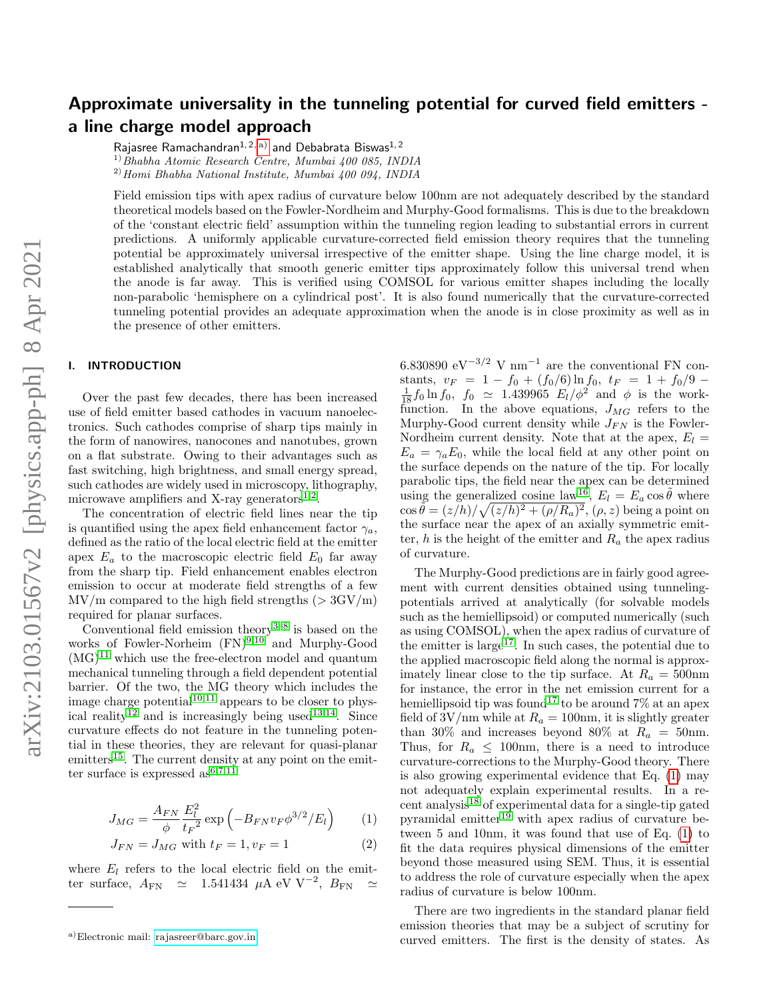# Approximate universality in the tunneling potential for curved field emitters a line charge model approach

Rajasree Ramachandran<sup>1, 2, a</sup>) and Debabrata Biswas<sup>1, 2</sup>

 $^{1)}$ Bhabha Atomic Research Centre, Mumbai 400 085, INDIA  $^{2)}$ Homi Bhabha National Institute, Mumbai 400 094, INDIA

Field emission tips with apex radius of curvature below 100nm are not adequately described by the standard theoretical models based on the Fowler-Nordheim and Murphy-Good formalisms. This is due to the breakdown of the 'constant electric field' assumption within the tunneling region leading to substantial errors in current predictions. A uniformly applicable curvature-corrected field emission theory requires that the tunneling potential be approximately universal irrespective of the emitter shape. Using the line charge model, it is established analytically that smooth generic emitter tips approximately follow this universal trend when the anode is far away. This is verified using COMSOL for various emitter shapes including the locally non-parabolic 'hemisphere on a cylindrical post'. It is also found numerically that the curvature-corrected tunneling potential provides an adequate approximation when the anode is in close proximity as well as in the presence of other emitters.

# I. INTRODUCTION

Over the past few decades, there has been increased use of field emitter based cathodes in vacuum nanoelectronics. Such cathodes comprise of sharp tips mainly in the form of nanowires, nanocones and nanotubes, grown on a flat substrate. Owing to their advantages such as fast switching, high brightness, and small energy spread, such cathodes are widely used in microscopy, lithography, microwave amplifiers and X-ray generators $^{1,2}$  $^{1,2}$  $^{1,2}$  $^{1,2}$ .

The concentration of electric field lines near the tip is quantified using the apex field enhancement factor  $\gamma_a$ , defined as the ratio of the local electric field at the emitter apex  $E_a$  to the macroscopic electric field  $E_0$  far away from the sharp tip. Field enhancement enables electron emission to occur at moderate field strengths of a few  $\text{MV/m}$  compared to the high field strengths ( $> 3\text{GV/m}$ ) required for planar surfaces.

Conventional field emission theory<sup>[3](#page-8-2)[–8](#page-8-3)</sup> is based on the works of Fowler-Norheim  $(FN)^{9,10}$  $(FN)^{9,10}$  $(FN)^{9,10}$  $(FN)^{9,10}$  and Murphy-Good  $(MG)^{11}$  $(MG)^{11}$  $(MG)^{11}$  which use the free-electron model and quantum mechanical tunneling through a field dependent potential barrier. Of the two, the MG theory which includes the image charge potential<sup>[10,](#page-8-5)[11](#page-8-6)</sup> appears to be closer to phys-ical reality<sup>[12](#page-8-7)</sup> and is increasingly being used<sup>[13,](#page-8-8)[14](#page-8-9)</sup>. Since curvature effects do not feature in the tunneling potential in these theories, they are relevant for quasi-planar emitters<sup>[15](#page-8-10)</sup>. The current density at any point on the emitter surface is expressed  $as^{6,7,11}$  $as^{6,7,11}$  $as^{6,7,11}$  $as^{6,7,11}$  $as^{6,7,11}$ 

<span id="page-0-1"></span>
$$
J_{MG} = \frac{A_{FN}}{\phi} \frac{E_l^2}{t_F^2} \exp\left(-B_{FN} v_F \phi^{3/2} / E_l\right) \tag{1}
$$

$$
J_{FN} = J_{MG} \text{ with } t_F = 1, v_F = 1 \tag{2}
$$

where  $E_l$  refers to the local electric field on the emitter surface, AFN ' 1.541434 µA eV V<sup>−</sup><sup>2</sup> , BFN '

6.830890 eV<sup>-3/2</sup> V nm<sup>-1</sup> are the conventional FN constants,  $v_F = 1 - f_0 + (f_0/6) \ln f_0$ ,  $t_F = 1 + f_0/9$  $\frac{1}{18} f_0 \ln f_0$ ,  $f_0 \simeq 1.439965 E_l/\phi^2$  and  $\phi$  is the workfunction. In the above equations,  $J_{MG}$  refers to the Murphy-Good current density while  $J_{FN}$  is the Fowler-Nordheim current density. Note that at the apex,  $E_l =$  $E_a = \gamma_a E_0$ , while the local field at any other point on the surface depends on the nature of the tip. For locally parabolic tips, the field near the apex can be determined using the generalized cosine law<sup>[16](#page-8-13)</sup>,  $E_l = E_a \cos \tilde{\theta}$  where  $\cos \tilde{\theta} = (z/h)/\sqrt{(z/h)^2 + (\rho/R_a)^2}, (\rho, z)$  being a point on the surface near the apex of an axially symmetric emitter, h is the height of the emitter and  $R_a$  the apex radius of curvature.

The Murphy-Good predictions are in fairly good agreement with current densities obtained using tunnelingpotentials arrived at analytically (for solvable models such as the hemiellipsoid) or computed numerically (such as using COMSOL), when the apex radius of curvature of the emitter is large<sup>[17](#page-8-14)</sup>. In such cases, the potential due to the applied macroscopic field along the normal is approximately linear close to the tip surface. At  $R_a = 500$ nm for instance, the error in the net emission current for a hemiellipsoid tip was found<sup>[17](#page-8-14)</sup> to be around  $7\%$  at an apex field of  $3V/nm$  while at  $R_a = 100nm$ , it is slightly greater than 30% and increases beyond 80% at  $R_a = 50$ nm. Thus, for  $R_a \leq 100$ nm, there is a need to introduce curvature-corrections to the Murphy-Good theory. There is also growing experimental evidence that Eq. [\(1\)](#page-0-1) may not adequately explain experimental results. In a recent analysis[18](#page-8-15) of experimental data for a single-tip gated pyramidal emitter $19$  with apex radius of curvature between 5 and 10nm, it was found that use of Eq. [\(1\)](#page-0-1) to fit the data requires physical dimensions of the emitter beyond those measured using SEM. Thus, it is essential to address the role of curvature especially when the apex radius of curvature is below 100nm.

There are two ingredients in the standard planar field emission theories that may be a subject of scrutiny for curved emitters. The first is the density of states. As

<span id="page-0-0"></span>a)Electronic mail: [rajasreer@barc.gov.in](mailto:rajasreer@barc.gov.in)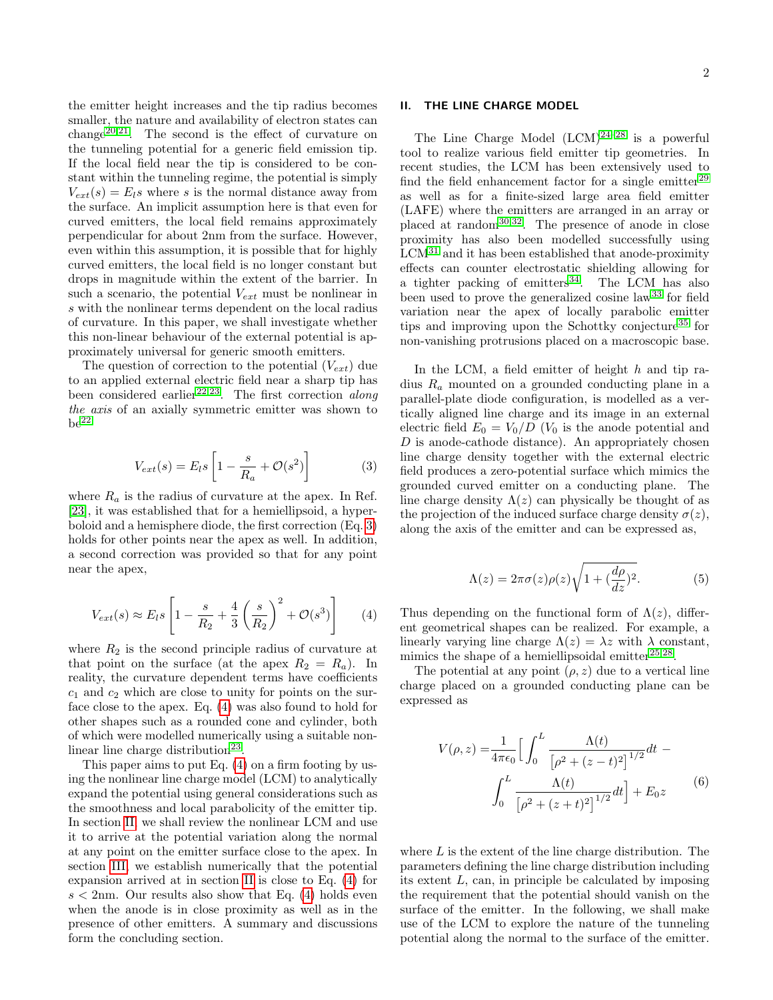2

# <span id="page-1-2"></span>II. THE LINE CHARGE MODEL

smaller, the nature and availability of electron states can change<sup>[20,](#page-8-17)[21](#page-8-18)</sup>. The second is the effect of curvature on the tunneling potential for a generic field emission tip. If the local field near the tip is considered to be constant within the tunneling regime, the potential is simply  $V_{ext}(s) = E_l s$  where s is the normal distance away from the surface. An implicit assumption here is that even for curved emitters, the local field remains approximately perpendicular for about 2nm from the surface. However, even within this assumption, it is possible that for highly curved emitters, the local field is no longer constant but drops in magnitude within the extent of the barrier. In such a scenario, the potential  $V_{ext}$  must be nonlinear in s with the nonlinear terms dependent on the local radius of curvature. In this paper, we shall investigate whether this non-linear behaviour of the external potential is approximately universal for generic smooth emitters.

the emitter height increases and the tip radius becomes

The question of correction to the potential  $(V_{ext})$  due to an applied external electric field near a sharp tip has been considered earlier<sup>[22,](#page-8-19)[23](#page-8-20)</sup>. The first correction *along* the axis of an axially symmetric emitter was shown to  $be^{22}$  $be^{22}$  $be^{22}$ 

<span id="page-1-0"></span>
$$
V_{ext}(s) = E_l s \left[ 1 - \frac{s}{R_a} + \mathcal{O}(s^2) \right]
$$
 (3)

where  $R_a$  is the radius of curvature at the apex. In Ref. [\[23\]](#page-8-20), it was established that for a hemiellipsoid, a hyperboloid and a hemisphere diode, the first correction (Eq. [3\)](#page-1-0) holds for other points near the apex as well. In addition, a second correction was provided so that for any point near the apex,

<span id="page-1-1"></span>
$$
V_{ext}(s) \approx E_l s \left[ 1 - \frac{s}{R_2} + \frac{4}{3} \left( \frac{s}{R_2} \right)^2 + \mathcal{O}(s^3) \right]
$$
 (4)

where  $R_2$  is the second principle radius of curvature at that point on the surface (at the apex  $R_2 = R_a$ ). In reality, the curvature dependent terms have coefficients  $c_1$  and  $c_2$  which are close to unity for points on the surface close to the apex. Eq. [\(4\)](#page-1-1) was also found to hold for other shapes such as a rounded cone and cylinder, both of which were modelled numerically using a suitable non-linear line charge distribution<sup>[23](#page-8-20)</sup>.

This paper aims to put Eq. [\(4\)](#page-1-1) on a firm footing by using the nonlinear line charge model (LCM) to analytically expand the potential using general considerations such as the smoothness and local parabolicity of the emitter tip. In section [II,](#page-1-2) we shall review the nonlinear LCM and use it to arrive at the potential variation along the normal at any point on the emitter surface close to the apex. In section [III,](#page-4-0) we establish numerically that the potential expansion arrived at in section [II](#page-1-2) is close to Eq. [\(4\)](#page-1-1) for  $s < 2$ nm. Our results also show that Eq. [\(4\)](#page-1-1) holds even when the anode is in close proximity as well as in the presence of other emitters. A summary and discussions form the concluding section.

The Line Charge Model  $(LCM)^{24-28}$  $(LCM)^{24-28}$  $(LCM)^{24-28}$  is a powerful tool to realize various field emitter tip geometries. In recent studies, the LCM has been extensively used to find the field enhancement factor for a single emitter<sup>[29](#page-8-23)</sup> as well as for a finite-sized large area field emitter (LAFE) where the emitters are arranged in an array or placed at random[30,](#page-8-24)[32](#page-8-25). The presence of anode in close proximity has also been modelled successfully using  $LCM<sup>31</sup>$  $LCM<sup>31</sup>$  $LCM<sup>31</sup>$  and it has been established that anode-proximity effects can counter electrostatic shielding allowing for a tighter packing of emitters<sup>[34](#page-8-27)</sup>. The LCM has also been used to prove the generalized cosine law<sup>[33](#page-8-28)</sup> for field variation near the apex of locally parabolic emitter tips and improving upon the Schottky conjecture<sup>[35](#page-8-29)</sup> for non-vanishing protrusions placed on a macroscopic base.

In the LCM, a field emitter of height  $h$  and tip radius  $R_a$  mounted on a grounded conducting plane in a parallel-plate diode configuration, is modelled as a vertically aligned line charge and its image in an external electric field  $E_0 = V_0/D$  ( $V_0$  is the anode potential and  $D$  is anode-cathode distance). An appropriately chosen line charge density together with the external electric field produces a zero-potential surface which mimics the grounded curved emitter on a conducting plane. The line charge density  $\Lambda(z)$  can physically be thought of as the projection of the induced surface charge density  $\sigma(z)$ , along the axis of the emitter and can be expressed as,

$$
\Lambda(z) = 2\pi\sigma(z)\rho(z)\sqrt{1 + (\frac{d\rho}{dz})^2}.
$$
\n(5)

Thus depending on the functional form of  $\Lambda(z)$ , different geometrical shapes can be realized. For example, a linearly varying line charge  $\Lambda(z) = \lambda z$  with  $\lambda$  constant, mimics the shape of a hemiellipsoidal emitter $^{25,28}$  $^{25,28}$  $^{25,28}$  $^{25,28}$ .

The potential at any point  $(\rho, z)$  due to a vertical line charge placed on a grounded conducting plane can be expressed as

<span id="page-1-3"></span>
$$
V(\rho, z) = \frac{1}{4\pi\epsilon_0} \Big[ \int_0^L \frac{\Lambda(t)}{\left[\rho^2 + (z - t)^2\right]^{1/2}} dt - \int_0^L \frac{\Lambda(t)}{\left[\rho^2 + (z + t)^2\right]^{1/2}} dt \Big] + E_0 z \tag{6}
$$

where  $L$  is the extent of the line charge distribution. The parameters defining the line charge distribution including its extent L, can, in principle be calculated by imposing the requirement that the potential should vanish on the surface of the emitter. In the following, we shall make use of the LCM to explore the nature of the tunneling potential along the normal to the surface of the emitter.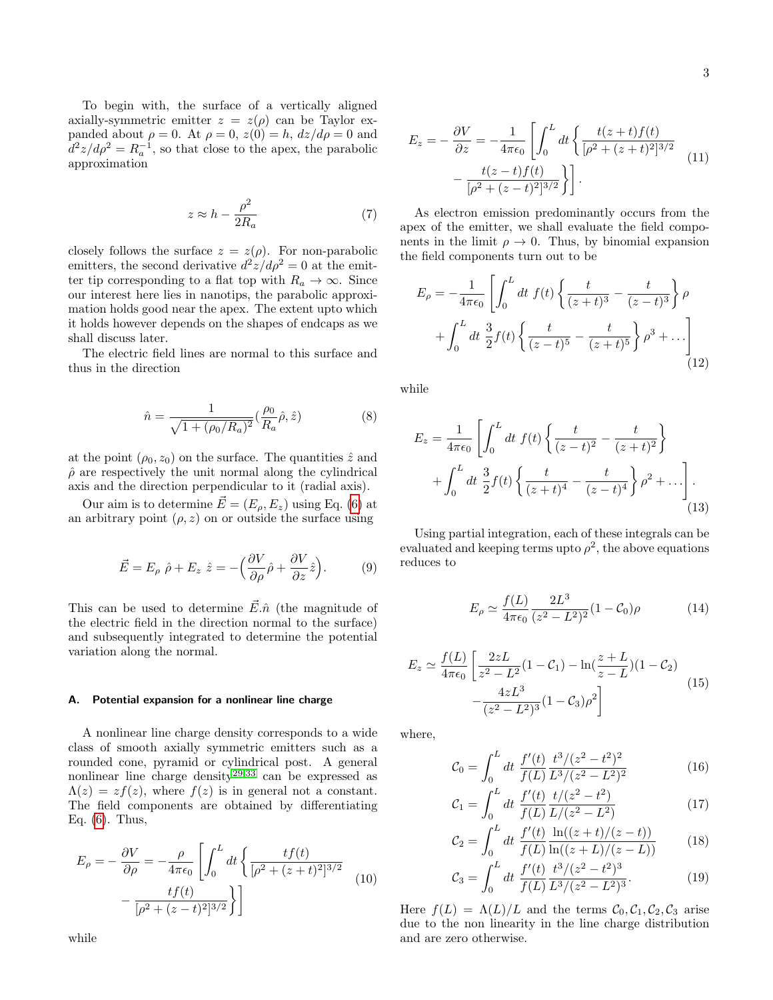To begin with, the surface of a vertically aligned axially-symmetric emitter  $z = z(\rho)$  can be Taylor expanded about  $\rho = 0$ . At  $\rho = 0$ ,  $z(0) = h$ ,  $dz/d\rho = 0$  and  $d^2z/d\rho^2 = R_a^{-1}$ , so that close to the apex, the parabolic approximation

<span id="page-2-0"></span>
$$
z \approx h - \frac{\rho^2}{2R_a} \tag{7}
$$

closely follows the surface  $z = z(\rho)$ . For non-parabolic emitters, the second derivative  $d^2z/d\rho^2 = 0$  at the emitter tip corresponding to a flat top with  $R_a \to \infty$ . Since our interest here lies in nanotips, the parabolic approximation holds good near the apex. The extent upto which it holds however depends on the shapes of endcaps as we shall discuss later.

The electric field lines are normal to this surface and thus in the direction

$$
\hat{n} = \frac{1}{\sqrt{1 + (\rho_0/R_a)^2}} \left(\frac{\rho_0}{R_a}\hat{\rho}, \hat{z}\right)
$$
(8)

at the point  $(\rho_0, z_0)$  on the surface. The quantities  $\hat{z}$  and  $\rho$  are respectively the unit normal along the cylindrical axis and the direction perpendicular to it (radial axis).

Our aim is to determine  $\vec{E} = (E_{\rho}, E_z)$  using Eq. [\(6\)](#page-1-3) at an arbitrary point  $(\rho, z)$  on or outside the surface using

$$
\vec{E} = E_{\rho} \hat{\rho} + E_z \hat{z} = -\left(\frac{\partial V}{\partial \rho}\hat{\rho} + \frac{\partial V}{\partial z}\hat{z}\right).
$$
 (9)

This can be used to determine  $\vec{E} \cdot \hat{n}$  (the magnitude of the electric field in the direction normal to the surface) and subsequently integrated to determine the potential variation along the normal.

# A. Potential expansion for a nonlinear line charge

A nonlinear line charge density corresponds to a wide class of smooth axially symmetric emitters such as a rounded cone, pyramid or cylindrical post. A general nonlinear line charge density<sup>[29,](#page-8-23)[33](#page-8-28)</sup> can be expressed as  $\Lambda(z) = z f(z)$ , where  $f(z)$  is in general not a constant. The field components are obtained by differentiating Eq. [\(6\)](#page-1-3). Thus,

$$
E_{\rho} = -\frac{\partial V}{\partial \rho} = -\frac{\rho}{4\pi\epsilon_0} \left[ \int_0^L dt \left\{ \frac{tf(t)}{[\rho^2 + (z+t)^2]^{3/2}} - \frac{tf(t)}{[\rho^2 + (z-t)^2]^{3/2}} \right\} \right]
$$
(10)

$$
E_z = -\frac{\partial V}{\partial z} = -\frac{1}{4\pi\epsilon_0} \left[ \int_0^L dt \left\{ \frac{t(z+t)f(t)}{[\rho^2 + (z+t)^2]^{3/2}} - \frac{t(z-t)f(t)}{[\rho^2 + (z-t)^2]^{3/2}} \right\} \right].
$$
\n(11)

As electron emission predominantly occurs from the apex of the emitter, we shall evaluate the field components in the limit  $\rho \to 0$ . Thus, by binomial expansion the field components turn out to be

$$
E_{\rho} = -\frac{1}{4\pi\epsilon_0} \left[ \int_0^L dt \ f(t) \left\{ \frac{t}{(z+t)^3} - \frac{t}{(z-t)^3} \right\} \rho + \int_0^L dt \ \frac{3}{2} f(t) \left\{ \frac{t}{(z-t)^5} - \frac{t}{(z+t)^5} \right\} \rho^3 + \cdots \right]
$$
(12)

while

$$
E_z = \frac{1}{4\pi\epsilon_0} \left[ \int_0^L dt \ f(t) \left\{ \frac{t}{(z-t)^2} - \frac{t}{(z+t)^2} \right\} + \int_0^L dt \ \frac{3}{2} f(t) \left\{ \frac{t}{(z+t)^4} - \frac{t}{(z-t)^4} \right\} \rho^2 + \ldots \right].
$$
\n(13)

Using partial integration, each of these integrals can be evaluated and keeping terms upto  $\rho^2$ , the above equations reduces to

$$
E_{\rho} \simeq \frac{f(L)}{4\pi\epsilon_0} \frac{2L^3}{(z^2 - L^2)^2} (1 - C_0)\rho \tag{14}
$$

$$
E_z \simeq \frac{f(L)}{4\pi\epsilon_0} \left[ \frac{2zL}{z^2 - L^2} (1 - C_1) - \ln(\frac{z + L}{z - L}) (1 - C_2) - \frac{4zL^3}{(z^2 - L^2)^3} (1 - C_3)\rho^2 \right]
$$
(15)

where,

$$
\mathcal{C}_0 = \int_0^L dt \; \frac{f'(t)}{f(L)} \frac{t^3/(z^2 - t^2)^2}{L^3/(z^2 - L^2)^2} \tag{16}
$$

$$
\mathcal{C}_1 = \int_0^L dt \; \frac{f'(t)}{f(L)} \frac{t/(z^2 - t^2)}{L/(z^2 - L^2)} \tag{17}
$$

$$
\mathcal{C}_2 = \int_0^L dt \; \frac{f'(t)}{f(L)} \frac{\ln((z+t)/(z-t))}{\ln((z+L)/(z-L))} \tag{18}
$$

$$
\mathcal{C}_3 = \int_0^L dt \; \frac{f'(t)}{f(L)} \frac{t^3/(z^2 - t^2)^3}{L^3/(z^2 - L^2)^3}.
$$
 (19)

Here  $f(L) = \Lambda(L)/L$  and the terms  $C_0, C_1, C_2, C_3$  arise due to the non linearity in the line charge distribution and are zero otherwise.

while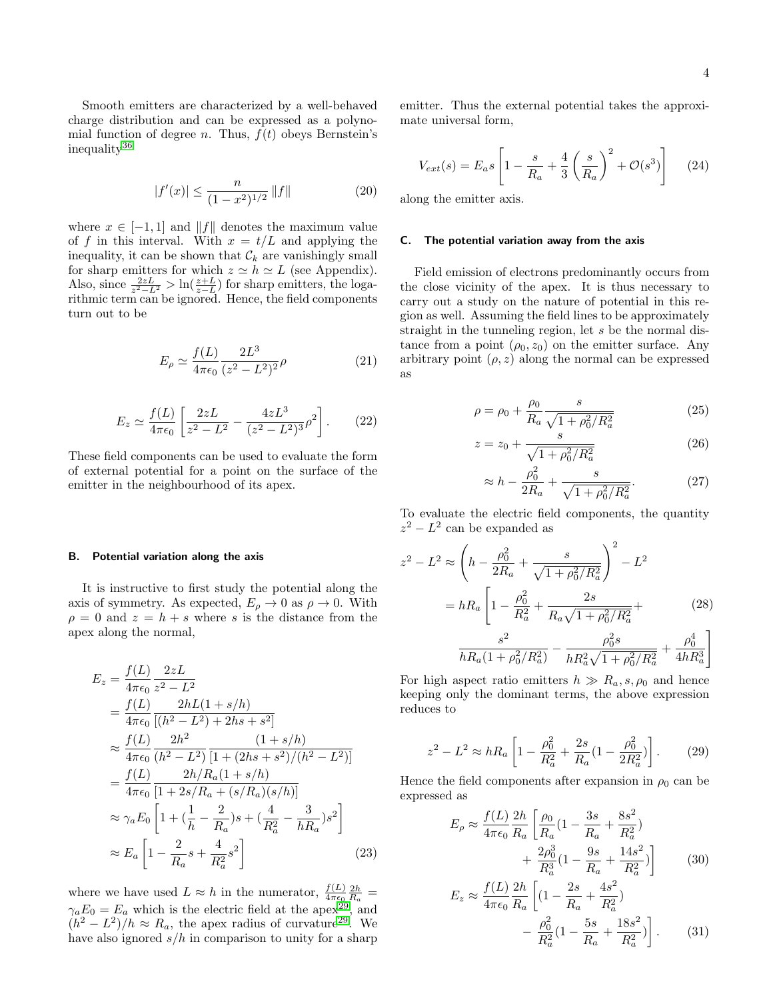Smooth emitters are characterized by a well-behaved charge distribution and can be expressed as a polynomial function of degree *n*. Thus,  $f(t)$  obeys Bernstein's inequality[36](#page-8-31)

$$
|f'(x)| \le \frac{n}{(1-x^2)^{1/2}} \|f\| \tag{20}
$$

where  $x \in [-1, 1]$  and  $||f||$  denotes the maximum value of f in this interval. With  $x = t/L$  and applying the inequality, it can be shown that  $\mathcal{C}_k$  are vanishingly small for sharp emitters for which  $z \simeq h \simeq L$  (see Appendix). Also, since  $\frac{2zL}{z^2-L^2} > \ln(\frac{z+L}{z-L})$  for sharp emitters, the logarithmic term can be ignored. Hence, the field components turn out to be

$$
E_{\rho} \simeq \frac{f(L)}{4\pi\epsilon_0} \frac{2L^3}{(z^2 - L^2)^2} \rho \tag{21}
$$

$$
E_z \simeq \frac{f(L)}{4\pi\epsilon_0} \left[ \frac{2zL}{z^2 - L^2} - \frac{4zL^3}{(z^2 - L^2)^3} \rho^2 \right].
$$
 (22)

These field components can be used to evaluate the form of external potential for a point on the surface of the emitter in the neighbourhood of its apex.

#### B. Potential variation along the axis

It is instructive to first study the potential along the axis of symmetry. As expected,  $E_{\rho} \to 0$  as  $\rho \to 0$ . With  $\rho = 0$  and  $z = h + s$  where s is the distance from the apex along the normal,

$$
E_z = \frac{f(L)}{4\pi\epsilon_0} \frac{2zL}{z^2 - L^2}
$$
  
=  $\frac{f(L)}{4\pi\epsilon_0} \frac{2hL(1+s/h)}{[(h^2 - L^2) + 2hs + s^2]}$   

$$
\approx \frac{f(L)}{4\pi\epsilon_0} \frac{2h^2}{(h^2 - L^2)} \frac{(1+s/h)}{[1 + (2hs + s^2)/(h^2 - L^2)]}
$$
  
=  $\frac{f(L)}{4\pi\epsilon_0} \frac{2h/R_a(1+s/h)}{[1 + 2s/R_a + (s/R_a)(s/h)]}$   

$$
\approx \gamma_a E_0 \left[1 + (\frac{1}{h} - \frac{2}{R_a})s + (\frac{4}{R_a^2} - \frac{3}{hR_a})s^2\right]
$$
  

$$
\approx E_a \left[1 - \frac{2}{R_a}s + \frac{4}{R_a^2}s^2\right]
$$
(23)

where we have used  $L \approx h$  in the numerator,  $\frac{f(L)}{4\pi\epsilon_0} \frac{2h}{R_a}$  $\gamma_a E_0 = E_a$  which is the electric field at the apex<sup>[29](#page-8-23)</sup>, and  $(h^2 - L^2)/h \approx R_a$ , the apex radius of curvature<sup>[29](#page-8-23)</sup>. We have also ignored  $s/h$  in comparison to unity for a sharp emitter. Thus the external potential takes the approximate universal form,

$$
V_{ext}(s) = E_a s \left[ 1 - \frac{s}{R_a} + \frac{4}{3} \left( \frac{s}{R_a} \right)^2 + \mathcal{O}(s^3) \right] \tag{24}
$$

along the emitter axis.

#### C. The potential variation away from the axis

Field emission of electrons predominantly occurs from the close vicinity of the apex. It is thus necessary to carry out a study on the nature of potential in this region as well. Assuming the field lines to be approximately straight in the tunneling region, let s be the normal distance from a point  $(\rho_0, z_0)$  on the emitter surface. Any arbitrary point  $(\rho, z)$  along the normal can be expressed as

$$
\rho = \rho_0 + \frac{\rho_0}{R_a} \frac{s}{\sqrt{1 + \rho_0^2/R_a^2}} \tag{25}
$$

$$
z = z_0 + \frac{s}{\sqrt{1 + \rho_0^2/R_a^2}}\tag{26}
$$

$$
\approx h - \frac{\rho_0^2}{2R_a} + \frac{s}{\sqrt{1 + \rho_0^2/R_a^2}}.\tag{27}
$$

To evaluate the electric field components, the quantity  $z^2 - L^2$  can be expanded as

$$
z^{2} - L^{2} \approx \left( h - \frac{\rho_{0}^{2}}{2R_{a}} + \frac{s}{\sqrt{1 + \rho_{0}^{2}/R_{a}^{2}}} \right)^{2} - L^{2}
$$

$$
= hR_{a} \left[ 1 - \frac{\rho_{0}^{2}}{R_{a}^{2}} + \frac{2s}{R_{a}\sqrt{1 + \rho_{0}^{2}/R_{a}^{2}}} + \frac{s^{2}}{hR_{a}(1 + \rho_{0}^{2}/R_{a}^{2})} - \frac{\rho_{0}^{2}s}{hR_{a}^{2}\sqrt{1 + \rho_{0}^{2}/R_{a}^{2}}} + \frac{\rho_{0}^{4}}{4hR_{a}^{3}} \right]
$$
(28)

For high aspect ratio emitters  $h \gg R_a$ , s,  $\rho_0$  and hence keeping only the dominant terms, the above expression reduces to

$$
z^2 - L^2 \approx hR_a \left[ 1 - \frac{\rho_0^2}{R_a^2} + \frac{2s}{R_a} (1 - \frac{\rho_0^2}{2R_a^2}) \right].
$$
 (29)

Hence the field components after expansion in  $\rho_0$  can be expressed as

$$
E_{\rho} \approx \frac{f(L)}{4\pi\epsilon_0} \frac{2h}{R_a} \left[ \frac{\rho_0}{R_a} (1 - \frac{3s}{R_a} + \frac{8s^2}{R_a^2}) + \frac{2\rho_0^3}{R_a^3} (1 - \frac{9s}{R_a} + \frac{14s^2}{R_a^2}) \right]
$$
(30)

$$
E_z \approx \frac{f(L)}{4\pi\epsilon_0} \frac{2h}{R_a} \left[ (1 - \frac{2s}{R_a} + \frac{4s^2}{R_a^2}) - \frac{\rho_0^2}{R_a^2} (1 - \frac{5s}{R_a} + \frac{18s^2}{R_a^2}) \right].
$$
 (31)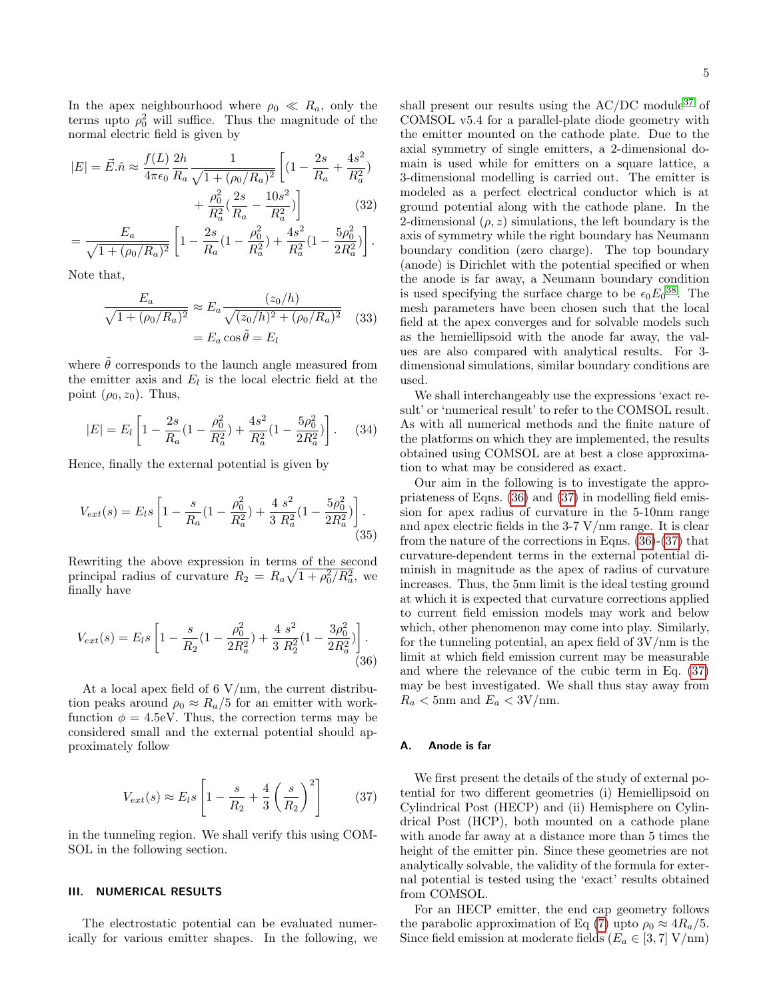In the apex neighbourhood where  $\rho_0 \ll R_a$ , only the terms upto  $\rho_0^2$  will suffice. Thus the magnitude of the normal electric field is given by

$$
|E| = \vec{E}.\hat{n} \approx \frac{f(L)}{4\pi\epsilon_0} \frac{2h}{R_a} \frac{1}{\sqrt{1 + (\rho_0/R_a)^2}} \left[ (1 - \frac{2s}{R_a} + \frac{4s^2}{R_a^2}) + \frac{\rho_0^2}{R_a^2} (\frac{2s}{R_a} - \frac{10s^2}{R_a^2}) \right]
$$
(32)

$$
= \frac{E_a}{\sqrt{1 + (\rho_0/R_a)^2}} \left[ 1 - \frac{2s}{R_a} (1 - \frac{\rho_0^2}{R_a^2}) + \frac{4s^2}{R_a^2} (1 - \frac{5\rho_0^2}{2R_a^2}) \right].
$$

Note that,

$$
\frac{E_a}{\sqrt{1 + (\rho_0/R_a)^2}} \approx E_a \frac{(z_0/h)}{\sqrt{(z_0/h)^2 + (\rho_0/R_a)^2}} \quad (33)
$$

$$
= E_a \cos \tilde{\theta} = E_l
$$

where  $\hat{\theta}$  corresponds to the launch angle measured from the emitter axis and  $E_l$  is the local electric field at the point  $(\rho_0, z_0)$ . Thus,

$$
|E| = E_l \left[ 1 - \frac{2s}{R_a} (1 - \frac{\rho_0^2}{R_a^2}) + \frac{4s^2}{R_a^2} (1 - \frac{5\rho_0^2}{2R_a^2}) \right].
$$
 (34)

Hence, finally the external potential is given by

$$
V_{ext}(s) = E_l s \left[ 1 - \frac{s}{R_a} (1 - \frac{\rho_0^2}{R_a^2}) + \frac{4 s^2}{3 R_a^2} (1 - \frac{5 \rho_0^2}{2R_a^2}) \right].
$$
\n(35)

Rewriting the above expression in terms of the second principal radius of curvature  $R_2 = R_a \sqrt{1 + \rho_0^2/R_a^2}$ , we finally have

<span id="page-4-1"></span>
$$
V_{ext}(s) = E_l s \left[ 1 - \frac{s}{R_2} (1 - \frac{\rho_0^2}{2R_a^2}) + \frac{4 s^2}{3 R_2^2} (1 - \frac{3\rho_0^2}{2R_a^2}) \right].
$$
\n(36)

At a local apex field of  $6 \text{ V/mm}$ , the current distribution peaks around  $\rho_0 \approx R_a/5$  for an emitter with workfunction  $\phi = 4.5$ eV. Thus, the correction terms may be considered small and the external potential should approximately follow

<span id="page-4-2"></span>
$$
V_{ext}(s) \approx E_l s \left[ 1 - \frac{s}{R_2} + \frac{4}{3} \left( \frac{s}{R_2} \right)^2 \right] \tag{37}
$$

in the tunneling region. We shall verify this using COM-SOL in the following section.

#### <span id="page-4-0"></span>III. NUMERICAL RESULTS

The electrostatic potential can be evaluated numerically for various emitter shapes. In the following, we

shall present our results using the  $AC/DC$  module<sup>[37](#page-8-32)</sup> of COMSOL v5.4 for a parallel-plate diode geometry with the emitter mounted on the cathode plate. Due to the axial symmetry of single emitters, a 2-dimensional domain is used while for emitters on a square lattice, a 3-dimensional modelling is carried out. The emitter is modeled as a perfect electrical conductor which is at ground potential along with the cathode plane. In the 2-dimensional  $(\rho, z)$  simulations, the left boundary is the axis of symmetry while the right boundary has Neumann boundary condition (zero charge). The top boundary (anode) is Dirichlet with the potential specified or when the anode is far away, a Neumann boundary condition is used specifying the surface charge to be  $\epsilon_0 E_0^{38}$  $\epsilon_0 E_0^{38}$  $\epsilon_0 E_0^{38}$ . The mesh parameters have been chosen such that the local field at the apex converges and for solvable models such as the hemiellipsoid with the anode far away, the values are also compared with analytical results. For 3 dimensional simulations, similar boundary conditions are used.

We shall interchangeably use the expressions 'exact result' or 'numerical result' to refer to the COMSOL result. As with all numerical methods and the finite nature of the platforms on which they are implemented, the results obtained using COMSOL are at best a close approximation to what may be considered as exact.

Our aim in the following is to investigate the appropriateness of Eqns. [\(36\)](#page-4-1) and [\(37\)](#page-4-2) in modelling field emission for apex radius of curvature in the 5-10nm range and apex electric fields in the  $3-7$  V/nm range. It is clear from the nature of the corrections in Eqns. [\(36\)](#page-4-1)-[\(37\)](#page-4-2) that curvature-dependent terms in the external potential diminish in magnitude as the apex of radius of curvature increases. Thus, the 5nm limit is the ideal testing ground at which it is expected that curvature corrections applied to current field emission models may work and below which, other phenomenon may come into play. Similarly, for the tunneling potential, an apex field of 3V/nm is the limit at which field emission current may be measurable and where the relevance of the cubic term in Eq. [\(37\)](#page-4-2) may be best investigated. We shall thus stay away from  $R_a < 5$ nm and  $E_a < 3V$ /nm.

#### A. Anode is far

We first present the details of the study of external potential for two different geometries (i) Hemiellipsoid on Cylindrical Post (HECP) and (ii) Hemisphere on Cylindrical Post (HCP), both mounted on a cathode plane with anode far away at a distance more than 5 times the height of the emitter pin. Since these geometries are not analytically solvable, the validity of the formula for external potential is tested using the 'exact' results obtained from COMSOL.

For an HECP emitter, the end cap geometry follows the parabolic approximation of Eq [\(7\)](#page-2-0) upto  $\rho_0 \approx 4R_a/5$ . Since field emission at moderate fields  $(E_a \in [3, 7] \text{ V/mm})$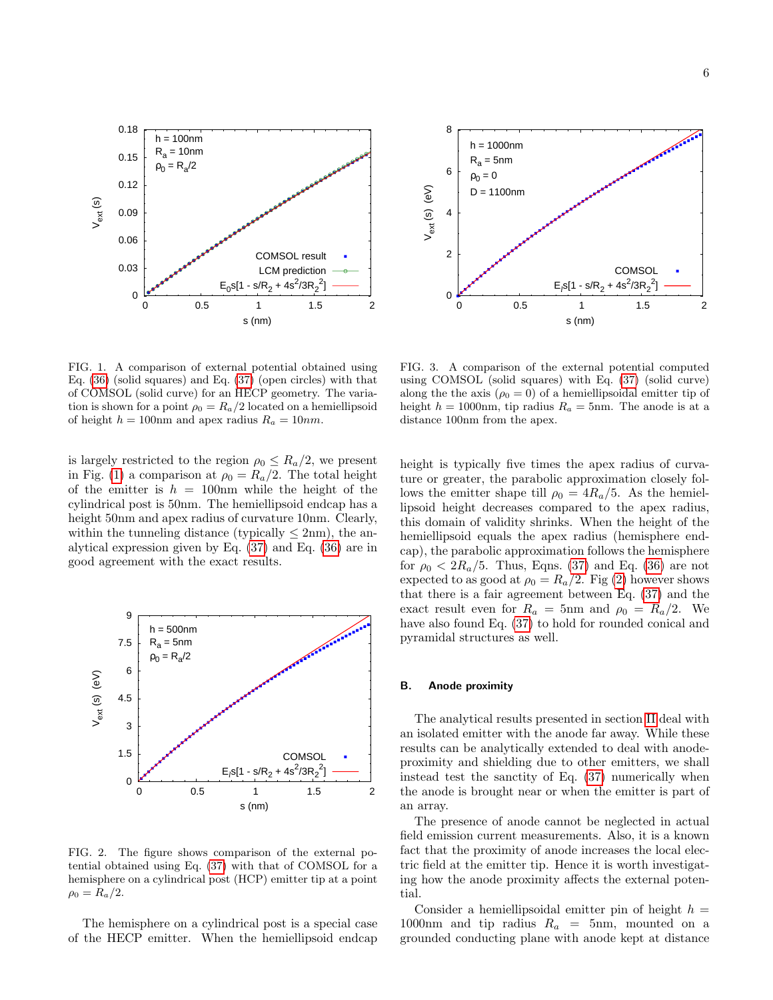



<span id="page-5-0"></span>FIG. 1. A comparison of external potential obtained using Eq. [\(36\)](#page-4-1) (solid squares) and Eq. [\(37\)](#page-4-2) (open circles) with that of COMSOL (solid curve) for an HECP geometry. The variation is shown for a point  $\rho_0 = R_a/2$  located on a hemiellipsoid of height  $h = 100$ nm and apex radius  $R_a = 10$ nm.

is largely restricted to the region  $\rho_0 \leq R_a/2$ , we present in Fig. [\(1\)](#page-5-0) a comparison at  $\rho_0 = R_a/2$ . The total height of the emitter is  $h = 100$ nm while the height of the cylindrical post is 50nm. The hemiellipsoid endcap has a height 50nm and apex radius of curvature 10nm. Clearly, within the tunneling distance (typically  $\leq$  2nm), the analytical expression given by Eq. [\(37\)](#page-4-2) and Eq. [\(36\)](#page-4-1) are in good agreement with the exact results.



<span id="page-5-1"></span>FIG. 2. The figure shows comparison of the external potential obtained using Eq. [\(37\)](#page-4-2) with that of COMSOL for a hemisphere on a cylindrical post (HCP) emitter tip at a point  $\rho_0 = R_a/2.$ 

The hemisphere on a cylindrical post is a special case of the HECP emitter. When the hemiellipsoid endcap

<span id="page-5-2"></span>FIG. 3. A comparison of the external potential computed using COMSOL (solid squares) with Eq. [\(37\)](#page-4-2) (solid curve) along the the axis ( $\rho_0 = 0$ ) of a hemiellipsoidal emitter tip of height  $h = 1000$ nm, tip radius  $R_a = 5$ nm. The anode is at a distance 100nm from the apex.

height is typically five times the apex radius of curvature or greater, the parabolic approximation closely follows the emitter shape till  $\rho_0 = 4R_a/5$ . As the hemiellipsoid height decreases compared to the apex radius, this domain of validity shrinks. When the height of the hemiellipsoid equals the apex radius (hemisphere endcap), the parabolic approximation follows the hemisphere for  $\rho_0 < 2R_a/5$ . Thus, Eqns. [\(37\)](#page-4-2) and Eq. [\(36\)](#page-4-1) are not expected to as good at  $\rho_0 = R_a/2$ . Fig [\(2\)](#page-5-1) however shows that there is a fair agreement between Eq. [\(37\)](#page-4-2) and the exact result even for  $R_a = 5$ nm and  $\rho_0 = R_a/2$ . We have also found Eq. [\(37\)](#page-4-2) to hold for rounded conical and pyramidal structures as well.

# B. Anode proximity

The analytical results presented in section [II](#page-1-2) deal with an isolated emitter with the anode far away. While these results can be analytically extended to deal with anodeproximity and shielding due to other emitters, we shall instead test the sanctity of Eq. [\(37\)](#page-4-2) numerically when the anode is brought near or when the emitter is part of an array.

The presence of anode cannot be neglected in actual field emission current measurements. Also, it is a known fact that the proximity of anode increases the local electric field at the emitter tip. Hence it is worth investigating how the anode proximity affects the external potential.

Consider a hemiellipsoidal emitter pin of height  $h =$ 1000nm and tip radius  $R_a = 5$ nm, mounted on a grounded conducting plane with anode kept at distance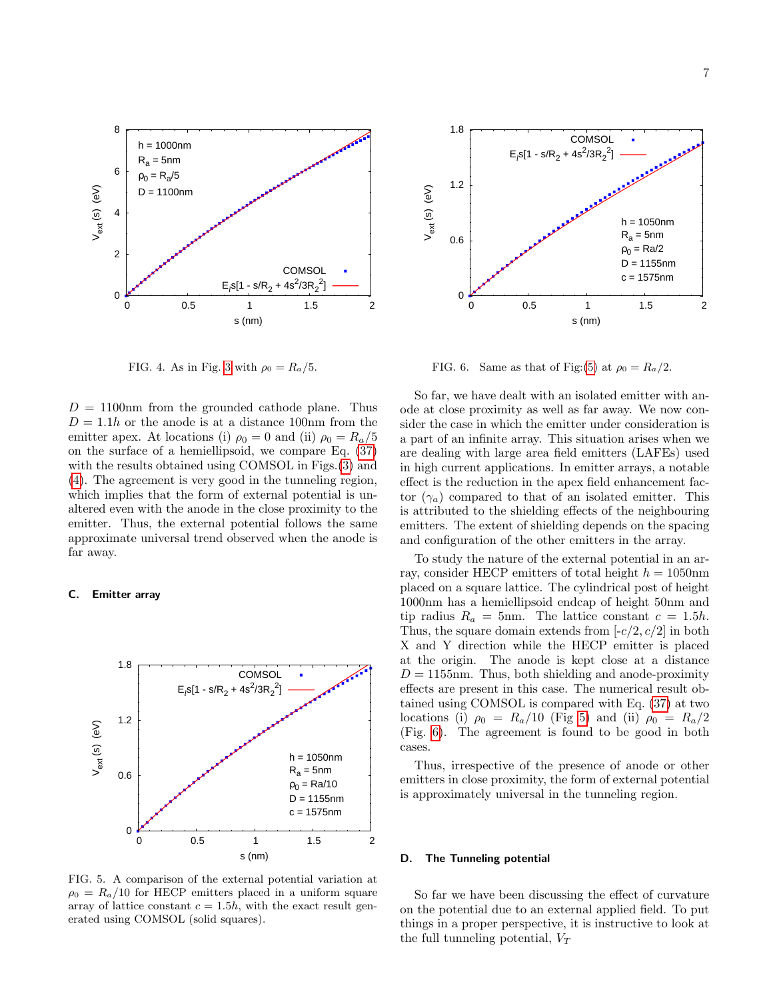

<span id="page-6-0"></span>FIG. 4. As in Fig. [3](#page-5-2) with  $\rho_0 = R_a/5$ .

 $D = 1100$ nm from the grounded cathode plane. Thus  $D = 1.1h$  or the anode is at a distance 100nm from the emitter apex. At locations (i)  $\rho_0 = 0$  and (ii)  $\rho_0 = R_a/5$ on the surface of a hemiellipsoid, we compare Eq. [\(37\)](#page-4-2) with the results obtained using COMSOL in Figs.[\(3\)](#page-5-2) and [\(4\)](#page-6-0). The agreement is very good in the tunneling region, which implies that the form of external potential is unaltered even with the anode in the close proximity to the emitter. Thus, the external potential follows the same approximate universal trend observed when the anode is far away.

#### C. Emitter array



<span id="page-6-1"></span>FIG. 5. A comparison of the external potential variation at  $\rho_0 = R_a/10$  for HECP emitters placed in a uniform square array of lattice constant  $c = 1.5h$ , with the exact result generated using COMSOL (solid squares).



<span id="page-6-2"></span>FIG. 6. Same as that of Fig:[\(5\)](#page-6-1) at  $\rho_0 = R_a/2$ .

So far, we have dealt with an isolated emitter with anode at close proximity as well as far away. We now consider the case in which the emitter under consideration is a part of an infinite array. This situation arises when we are dealing with large area field emitters (LAFEs) used in high current applications. In emitter arrays, a notable effect is the reduction in the apex field enhancement factor  $(\gamma_a)$  compared to that of an isolated emitter. This is attributed to the shielding effects of the neighbouring emitters. The extent of shielding depends on the spacing and configuration of the other emitters in the array.

To study the nature of the external potential in an array, consider HECP emitters of total height  $h = 1050$ nm placed on a square lattice. The cylindrical post of height 1000nm has a hemiellipsoid endcap of height 50nm and tip radius  $R_a = 5$ nm. The lattice constant  $c = 1.5h$ . Thus, the square domain extends from  $\lceil -c/2, c/2 \rceil$  in both X and Y direction while the HECP emitter is placed at the origin. The anode is kept close at a distance  $D = 1155$ nm. Thus, both shielding and anode-proximity effects are present in this case. The numerical result obtained using COMSOL is compared with Eq. [\(37\)](#page-4-2) at two locations (i)  $\rho_0 = R_a/10$  (Fig [5\)](#page-6-1) and (ii)  $\rho_0 = R_a/2$ (Fig. [6\)](#page-6-2). The agreement is found to be good in both cases.

Thus, irrespective of the presence of anode or other emitters in close proximity, the form of external potential is approximately universal in the tunneling region.

#### D. The Tunneling potential

So far we have been discussing the effect of curvature on the potential due to an external applied field. To put things in a proper perspective, it is instructive to look at the full tunneling potential,  $V_T$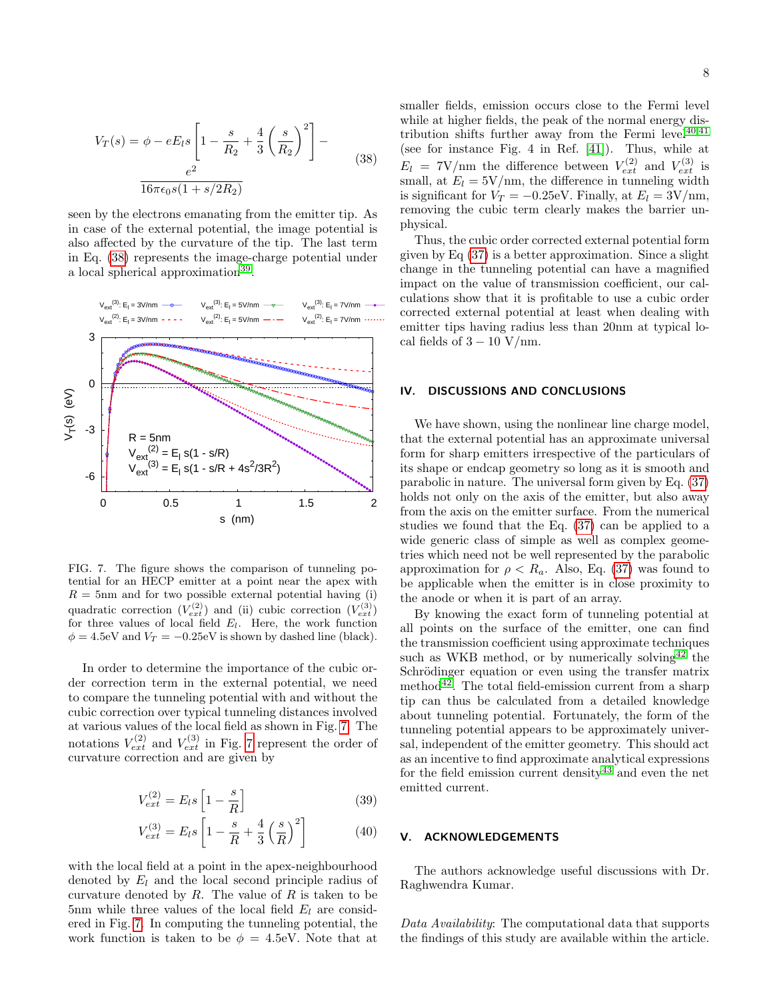<span id="page-7-0"></span>
$$
V_T(s) = \phi - eE_l s \left[ 1 - \frac{s}{R_2} + \frac{4}{3} \left( \frac{s}{R_2} \right)^2 \right] - \frac{e^2}{16\pi\epsilon_0 s (1 + s/2R_2)}
$$
(38)

seen by the electrons emanating from the emitter tip. As in case of the external potential, the image potential is also affected by the curvature of the tip. The last term in Eq. [\(38\)](#page-7-0) represents the image-charge potential under a local spherical approximation<sup>[39](#page-8-34)</sup>.



<span id="page-7-1"></span>FIG. 7. The figure shows the comparison of tunneling potential for an HECP emitter at a point near the apex with  $R = 5$ nm and for two possible external potential having (i) quadratic correction  $(V_{ext}^{(2)})$  and (ii) cubic correction  $(V_{ext}^{(3)})$ for three values of local field  $E_l$ . Here, the work function  $\phi = 4.5$ eV and  $V_T = -0.25$ eV is shown by dashed line (black).

In order to determine the importance of the cubic order correction term in the external potential, we need to compare the tunneling potential with and without the cubic correction over typical tunneling distances involved at various values of the local field as shown in Fig. [7.](#page-7-1) The notations  $V_{ext}^{(2)}$  and  $V_{ext}^{(3)}$  in Fig. [7](#page-7-1) represent the order of curvature correction and are given by

$$
V_{ext}^{(2)} = E_l s \left[ 1 - \frac{s}{R} \right] \tag{39}
$$

$$
V_{ext}^{(3)} = E_l s \left[ 1 - \frac{s}{R} + \frac{4}{3} \left( \frac{s}{R} \right)^2 \right]
$$
 (40)

with the local field at a point in the apex-neighbourhood denoted by  $E_l$  and the local second principle radius of curvature denoted by  $R$ . The value of  $R$  is taken to be 5nm while three values of the local field  $E_l$  are considered in Fig. [7.](#page-7-1) In computing the tunneling potential, the work function is taken to be  $\phi = 4.5$ eV. Note that at

smaller fields, emission occurs close to the Fermi level while at higher fields, the peak of the normal energy distribution shifts further away from the Fermi level<sup> $40,41$  $40,41$ </sup> (see for instance Fig. 4 in Ref. [\[41\]](#page-8-36)). Thus, while at  $E_l = 7V/\text{nm}$  the difference between  $V_{ext}^{(2)}$  and  $V_{ext}^{(3)}$  is small, at  $E_l = 5V/\text{nm}$ , the difference in tunneling width is significant for  $V_T = -0.25$ eV. Finally, at  $E_l = 3V/nm$ , removing the cubic term clearly makes the barrier unphysical.

Thus, the cubic order corrected external potential form given by Eq [\(37\)](#page-4-2) is a better approximation. Since a slight change in the tunneling potential can have a magnified impact on the value of transmission coefficient, our calculations show that it is profitable to use a cubic order corrected external potential at least when dealing with emitter tips having radius less than 20nm at typical local fields of  $3 - 10$  V/nm.

## IV. DISCUSSIONS AND CONCLUSIONS

We have shown, using the nonlinear line charge model, that the external potential has an approximate universal form for sharp emitters irrespective of the particulars of its shape or endcap geometry so long as it is smooth and parabolic in nature. The universal form given by Eq. [\(37\)](#page-4-2) holds not only on the axis of the emitter, but also away from the axis on the emitter surface. From the numerical studies we found that the Eq. [\(37\)](#page-4-2) can be applied to a wide generic class of simple as well as complex geometries which need not be well represented by the parabolic approximation for  $\rho < R_a$ . Also, Eq. [\(37\)](#page-4-2) was found to be applicable when the emitter is in close proximity to the anode or when it is part of an array.

By knowing the exact form of tunneling potential at all points on the surface of the emitter, one can find the transmission coefficient using approximate techniques such as WKB method, or by numerically solving  $42$  the Schrödinger equation or even using the transfer matrix method $42$ . The total field-emission current from a sharp tip can thus be calculated from a detailed knowledge about tunneling potential. Fortunately, the form of the tunneling potential appears to be approximately universal, independent of the emitter geometry. This should act as an incentive to find approximate analytical expressions for the field emission current density  $43$  and even the net emitted current.

# V. ACKNOWLEDGEMENTS

The authors acknowledge useful discussions with Dr. Raghwendra Kumar.

Data Availability: The computational data that supports the findings of this study are available within the article.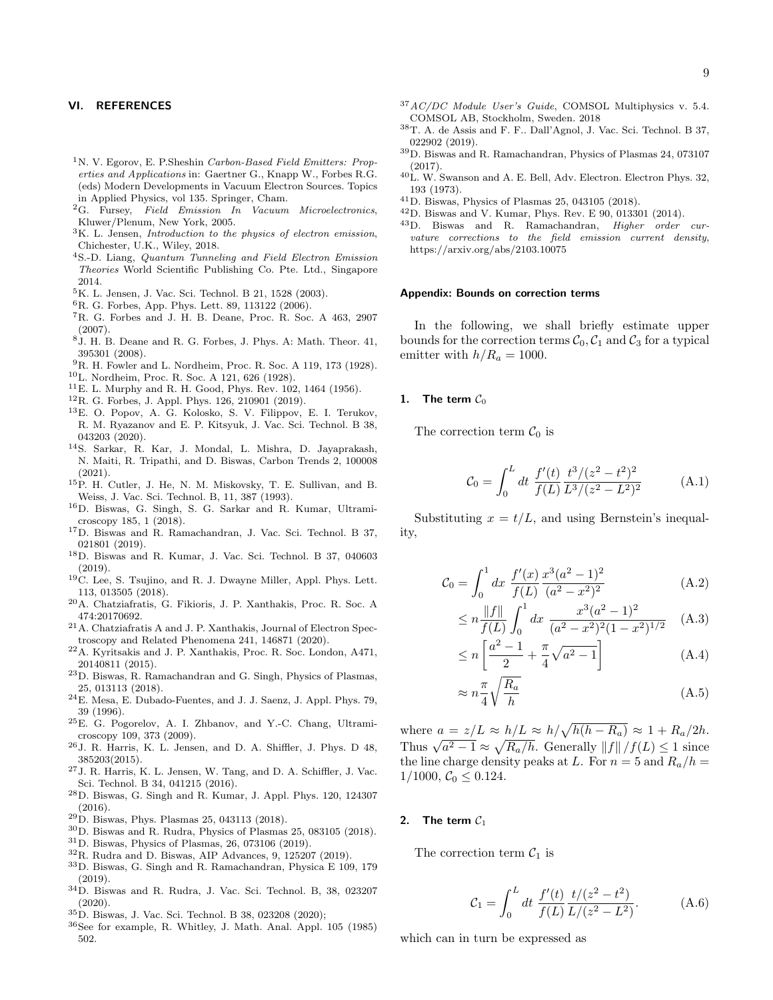#### VI. REFERENCES

- <span id="page-8-0"></span><sup>1</sup>N. V. Egorov, E. P.Sheshin Carbon-Based Field Emitters: Properties and Applications in: Gaertner G., Knapp W., Forbes R.G. (eds) Modern Developments in Vacuum Electron Sources. Topics in Applied Physics, vol 135. Springer, Cham.
- <span id="page-8-1"></span> ${}^{2}G.$  Fursey, Field Emission In Vacuum Microelectronics, Kluwer/Plenum, New York, 2005.
- <span id="page-8-2"></span> ${}^{3}$ K. L. Jensen, *Introduction to the physics of electron emission*, Chichester, U.K., Wiley, 2018.
- <sup>4</sup>S.-D. Liang, Quantum Tunneling and Field Electron Emission Theories World Scientific Publishing Co. Pte. Ltd., Singapore 2014.
- <sup>5</sup>K. L. Jensen, J. Vac. Sci. Technol. B 21, 1528 (2003).
- <span id="page-8-11"></span><sup>6</sup>R. G. Forbes, App. Phys. Lett. 89, 113122 (2006).
- <span id="page-8-12"></span><sup>7</sup>R. G. Forbes and J. H. B. Deane, Proc. R. Soc. A 463, 2907 (2007).
- <span id="page-8-3"></span><sup>8</sup>J. H. B. Deane and R. G. Forbes, J. Phys. A: Math. Theor. 41, 395301 (2008).
- <span id="page-8-4"></span><sup>9</sup>R. H. Fowler and L. Nordheim, Proc. R. Soc. A 119, 173 (1928).
- <span id="page-8-5"></span><sup>10</sup>L. Nordheim, Proc. R. Soc. A 121, 626 (1928).
- <span id="page-8-6"></span> $11$ E. L. Murphy and R. H. Good, Phys. Rev. 102, 1464 (1956).
- <span id="page-8-7"></span><sup>12</sup>R. G. Forbes, J. Appl. Phys. 126, 210901 (2019).
- <span id="page-8-8"></span><sup>13</sup>E. O. Popov, A. G. Kolosko, S. V. Filippov, E. I. Terukov, R. M. Ryazanov and E. P. Kitsyuk, J. Vac. Sci. Technol. B 38, 043203 (2020).
- <span id="page-8-9"></span><sup>14</sup>S. Sarkar, R. Kar, J. Mondal, L. Mishra, D. Jayaprakash, N. Maiti, R. Tripathi, and D. Biswas, Carbon Trends 2, 100008  $(2021).$
- <span id="page-8-10"></span><sup>15</sup>P. H. Cutler, J. He, N. M. Miskovsky, T. E. Sullivan, and B. Weiss, J. Vac. Sci. Technol. B, 11, 387 (1993).
- <span id="page-8-13"></span><sup>16</sup>D. Biswas, G. Singh, S. G. Sarkar and R. Kumar, Ultramicroscopy 185, 1 (2018).
- <span id="page-8-14"></span><sup>17</sup>D. Biswas and R. Ramachandran, J. Vac. Sci. Technol. B 37, 021801 (2019).
- <span id="page-8-15"></span><sup>18</sup>D. Biswas and R. Kumar, J. Vac. Sci. Technol. B 37, 040603 (2019).
- <span id="page-8-16"></span><sup>19</sup>C. Lee, S. Tsujino, and R. J. Dwayne Miller, Appl. Phys. Lett. 113, 013505 (2018).
- <span id="page-8-17"></span><sup>20</sup>A. Chatziafratis, G. Fikioris, J. P. Xanthakis, Proc. R. Soc. A 474:20170692.
- <span id="page-8-18"></span><sup>21</sup>A. Chatziafratis A and J. P. Xanthakis, Journal of Electron Spectroscopy and Related Phenomena 241, 146871 (2020).
- <span id="page-8-19"></span><sup>22</sup>A. Kyritsakis and J. P. Xanthakis, Proc. R. Soc. London, A471, 20140811 (2015).
- <span id="page-8-20"></span><sup>23</sup>D. Biswas, R. Ramachandran and G. Singh, Physics of Plasmas, 25, 013113 (2018).
- <span id="page-8-21"></span><sup>24</sup>E. Mesa, E. Dubado-Fuentes, and J. J. Saenz, J. Appl. Phys. 79, 39 (1996).
- <span id="page-8-30"></span><sup>25</sup>E. G. Pogorelov, A. I. Zhbanov, and Y.-C. Chang, Ultramicroscopy 109, 373 (2009).
- <sup>26</sup>J. R. Harris, K. L. Jensen, and D. A. Shiffler, J. Phys. D 48, 385203(2015).
- <sup>27</sup>J. R. Harris, K. L. Jensen, W. Tang, and D. A. Schiffler, J. Vac. Sci. Technol. B 34, 041215 (2016).
- <span id="page-8-22"></span><sup>28</sup>D. Biswas, G. Singh and R. Kumar, J. Appl. Phys. 120, 124307 (2016).
- <span id="page-8-23"></span><sup>29</sup>D. Biswas, Phys. Plasmas 25, 043113 (2018).
- <span id="page-8-24"></span><sup>30</sup>D. Biswas and R. Rudra, Physics of Plasmas 25, 083105 (2018).
- <span id="page-8-26"></span><sup>31</sup>D. Biswas, Physics of Plasmas, 26, 073106 (2019).
- <span id="page-8-25"></span> $32R$ . Rudra and D. Biswas, AIP Advances, 9, 125207 (2019).
- <span id="page-8-28"></span><sup>33</sup>D. Biswas, G. Singh and R. Ramachandran, Physica E 109, 179 (2019).
- <span id="page-8-27"></span><sup>34</sup>D. Biswas and R. Rudra, J. Vac. Sci. Technol. B, 38, 023207 (2020).
- <span id="page-8-29"></span><sup>35</sup>D. Biswas, J. Vac. Sci. Technol. B 38, 023208 (2020);
- <span id="page-8-31"></span><sup>36</sup>See for example, R. Whitley, J. Math. Anal. Appl. 105 (1985) 502.
- <span id="page-8-32"></span> $37AC/DC$  Module User's Guide, COMSOL Multiphysics v. 5.4. COMSOL AB, Stockholm, Sweden. 2018
- <span id="page-8-33"></span><sup>38</sup>T. A. de Assis and F. F.. Dall'Agnol, J. Vac. Sci. Technol. B 37, 022902 (2019).
- <span id="page-8-34"></span><sup>39</sup>D. Biswas and R. Ramachandran, Physics of Plasmas 24, 073107 (2017).
- <span id="page-8-35"></span><sup>40</sup>L. W. Swanson and A. E. Bell, Adv. Electron. Electron Phys. 32, 193 (1973).
- <span id="page-8-36"></span><sup>41</sup>D. Biswas, Physics of Plasmas 25, 043105 (2018).
- <span id="page-8-37"></span><sup>42</sup>D. Biswas and V. Kumar, Phys. Rev. E 90, 013301 (2014).
- <span id="page-8-38"></span><sup>43</sup>D. Biswas and R. Ramachandran, Higher order curvature corrections to the field emission current density, https://arxiv.org/abs/2103.10075

#### Appendix: Bounds on correction terms

In the following, we shall briefly estimate upper bounds for the correction terms  $\mathcal{C}_0$ ,  $\mathcal{C}_1$  and  $\mathcal{C}_3$  for a typical emitter with  $h/R_a = 1000$ .

# 1. The term  $C_0$

The correction term  $C_0$  is

$$
\mathcal{C}_0 = \int_0^L dt \; \frac{f'(t)}{f(L)} \frac{t^3/(z^2 - t^2)^2}{L^3/(z^2 - L^2)^2} \tag{A.1}
$$

Substituting  $x = t/L$ , and using Bernstein's inequality,

$$
\mathcal{C}_0 = \int_0^1 dx \; \frac{f'(x)}{f(L)} \frac{x^3 (a^2 - 1)^2}{(a^2 - x^2)^2} \tag{A.2}
$$

$$
\leq n \frac{\|f\|}{f(L)} \int_0^1 dx \; \frac{x^3 (a^2 - 1)^2}{(a^2 - x^2)^2 (1 - x^2)^{1/2}} \quad \text{(A.3)}
$$

$$
\leq n \left[ \frac{a^2 - 1}{2} + \frac{\pi}{4} \sqrt{a^2 - 1} \right]
$$
 (A.4)

$$
\approx n\frac{\pi}{4}\sqrt{\frac{R_a}{h}}\tag{A.5}
$$

where  $a = z/L \approx h/L \approx h/\sqrt{h(h - R_a)} \approx 1 + R_a/2h$ . where  $a = z/L \approx h/L \approx h/\sqrt{h(h - h_a)} \approx 1 + h_a/2h$ .<br>Thus  $\sqrt{a^2 - 1} \approx \sqrt{R_a/h}$ . Generally  $||f||/f(L) \le 1$  since the line charge density peaks at L. For  $n = 5$  and  $R_a/h =$  $1/1000, \mathcal{C}_0 \leq 0.124.$ 

# 2. The term  $C_1$

The correction term  $C_1$  is

$$
\mathcal{C}_1 = \int_0^L dt \; \frac{f'(t)}{f(L)} \frac{t/(z^2 - t^2)}{L/(z^2 - L^2)}.
$$
 (A.6)

which can in turn be expressed as